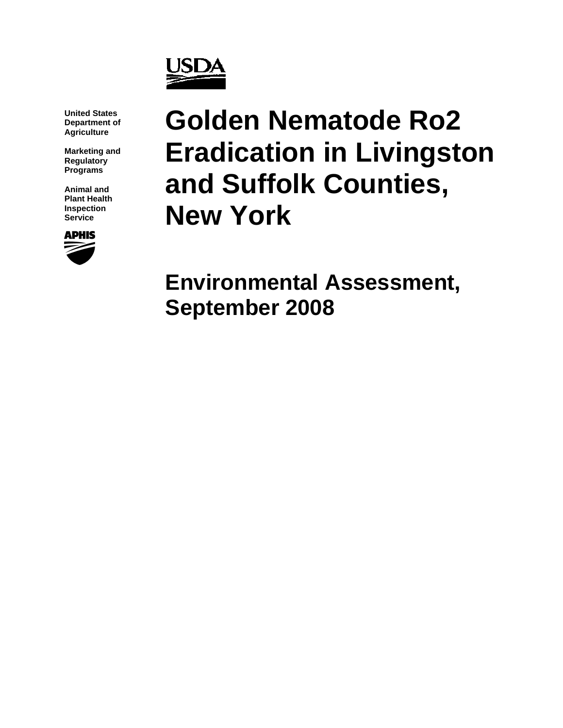

**United States Department of Agriculture** 

**Marketing and Regulatory Programs** 

**Animal and Plant Health Inspection Service** 



# **Golden Nematode Ro2 Eradication in Livingston and Suffolk Counties, New York**

**Environmental Assessment, September 2008**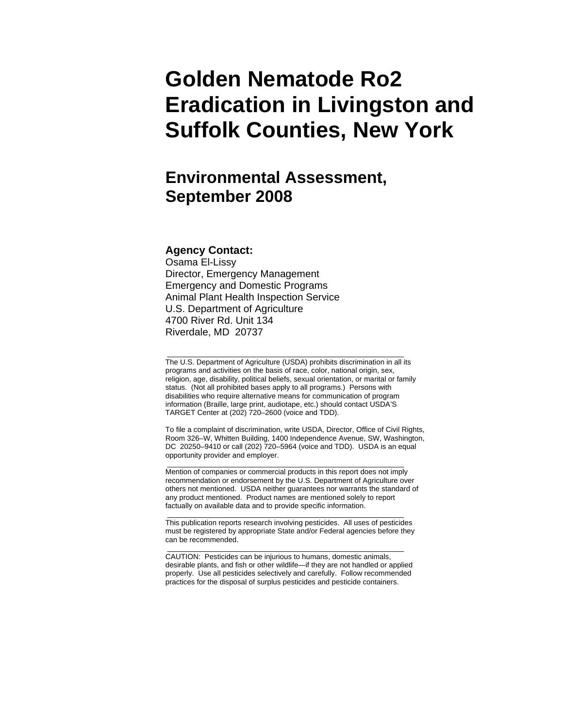## **Golden Nematode Ro2 Eradication in Livingston and Suffolk Counties, New York**

## **Environmental Assessment, September 2008**

#### **Agency Contact:**

Osama El-Lissy Director, Emergency Management Emergency and Domestic Programs Animal Plant Health Inspection Service U.S. Department of Agriculture 4700 River Rd. Unit 134 Riverdale, MD 20737

The U.S. Department of Agriculture (USDA) prohibits discrimination in all its programs and activities on the basis of race, color, national origin, sex, religion, age, disability, political beliefs, sexual orientation, or marital or family status. (Not all prohibited bases apply to all programs.) Persons with disabilities who require alternative means for communication of program information (Braille, large print, audiotape, etc.) should contact USDA'S TARGET Center at (202) 720–2600 (voice and TDD).

\_\_\_\_\_\_\_\_\_\_\_\_\_\_\_\_\_\_\_\_\_\_\_\_\_\_\_\_\_\_\_\_\_\_\_\_\_\_\_\_\_\_\_\_\_\_\_\_\_\_\_\_\_\_\_\_\_\_

To file a complaint of discrimination, write USDA, Director, Office of Civil Rights, Room 326–W, Whitten Building, 1400 Independence Avenue, SW, Washington, DC 20250–9410 or call (202) 720–5964 (voice and TDD). USDA is an equal opportunity provider and employer.

\_\_\_\_\_\_\_\_\_\_\_\_\_\_\_\_\_\_\_\_\_\_\_\_\_\_\_\_\_\_\_\_\_\_\_\_\_\_\_\_\_\_\_\_\_\_\_\_\_\_\_\_\_\_\_\_\_\_ Mention of companies or commercial products in this report does not imply recommendation or endorsement by the U.S. Department of Agriculture over others not mentioned. USDA neither guarantees nor warrants the standard of any product mentioned. Product names are mentioned solely to report factually on available data and to provide specific information.

This publication reports research involving pesticides. All uses of pesticides must be registered by appropriate State and/or Federal agencies before they can be recommended.

\_\_\_\_\_\_\_\_\_\_\_\_\_\_\_\_\_\_\_\_\_\_\_\_\_\_\_\_\_\_\_\_\_\_\_\_\_\_\_\_\_\_\_\_\_\_\_\_\_\_\_\_\_\_\_\_\_\_

CAUTION: Pesticides can be injurious to humans, domestic animals, desirable plants, and fish or other wildlife—if they are not handled or applied properly. Use all pesticides selectively and carefully. Follow recommended practices for the disposal of surplus pesticides and pesticide containers.

\_\_\_\_\_\_\_\_\_\_\_\_\_\_\_\_\_\_\_\_\_\_\_\_\_\_\_\_\_\_\_\_\_\_\_\_\_\_\_\_\_\_\_\_\_\_\_\_\_\_\_\_\_\_\_\_\_\_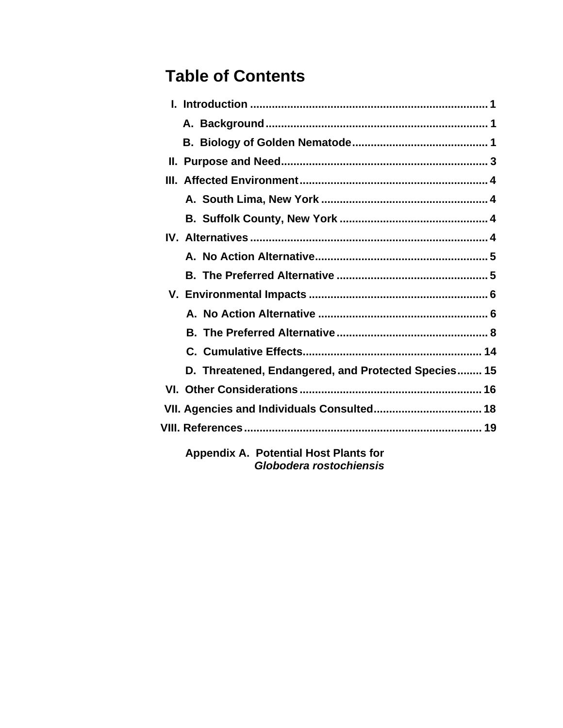## **Table of Contents**

| D. Threatened, Endangered, and Protected Species 15 |
|-----------------------------------------------------|
|                                                     |
| VII. Agencies and Individuals Consulted 18          |
|                                                     |
| <b>Appendix A. Potential Host Plants for</b>        |

*Globodera rostochiensis*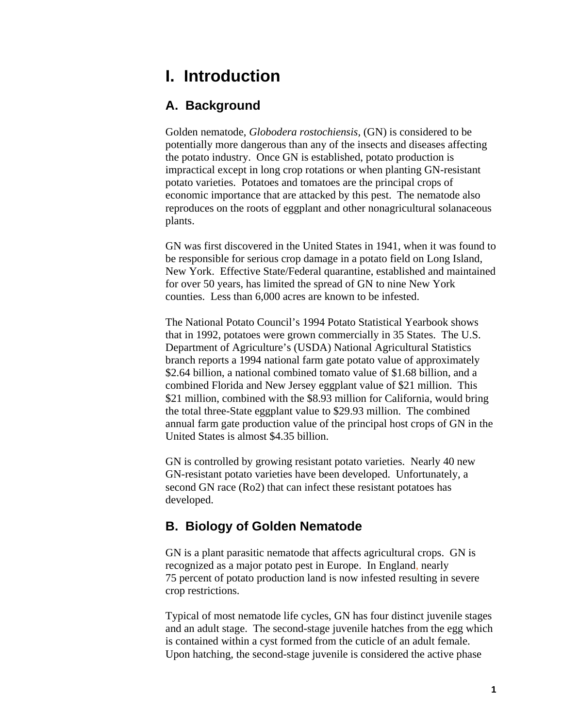## **I. Introduction**

#### **A. Background**

Golden nematode, *Globodera rostochiensis*, (GN) is considered to be potentially more dangerous than any of the insects and diseases affecting the potato industry. Once GN is established, potato production is impractical except in long crop rotations or when planting GN-resistant potato varieties. Potatoes and tomatoes are the principal crops of economic importance that are attacked by this pest. The nematode also reproduces on the roots of eggplant and other nonagricultural solanaceous plants.

GN was first discovered in the United States in 1941, when it was found to be responsible for serious crop damage in a potato field on Long Island, New York. Effective State/Federal quarantine, established and maintained for over 50 years, has limited the spread of GN to nine New York counties. Less than 6,000 acres are known to be infested.

The National Potato Council's 1994 Potato Statistical Yearbook shows that in 1992, potatoes were grown commercially in 35 States. The U.S. Department of Agriculture's (USDA) National Agricultural Statistics branch reports a 1994 national farm gate potato value of approximately \$2.64 billion, a national combined tomato value of \$1.68 billion, and a combined Florida and New Jersey eggplant value of \$21 million. This \$21 million, combined with the \$8.93 million for California, would bring the total three-State eggplant value to \$29.93 million. The combined annual farm gate production value of the principal host crops of GN in the United States is almost \$4.35 billion.

GN is controlled by growing resistant potato varieties. Nearly 40 new GN-resistant potato varieties have been developed. Unfortunately, a second GN race (Ro2) that can infect these resistant potatoes has developed.

#### **B. Biology of Golden Nematode**

GN is a plant parasitic nematode that affects agricultural crops. GN is recognized as a major potato pest in Europe. In England, nearly 75 percent of potato production land is now infested resulting in severe crop restrictions.

Typical of most nematode life cycles, GN has four distinct juvenile stages and an adult stage. The second-stage juvenile hatches from the egg which is contained within a cyst formed from the cuticle of an adult female. Upon hatching, the second-stage juvenile is considered the active phase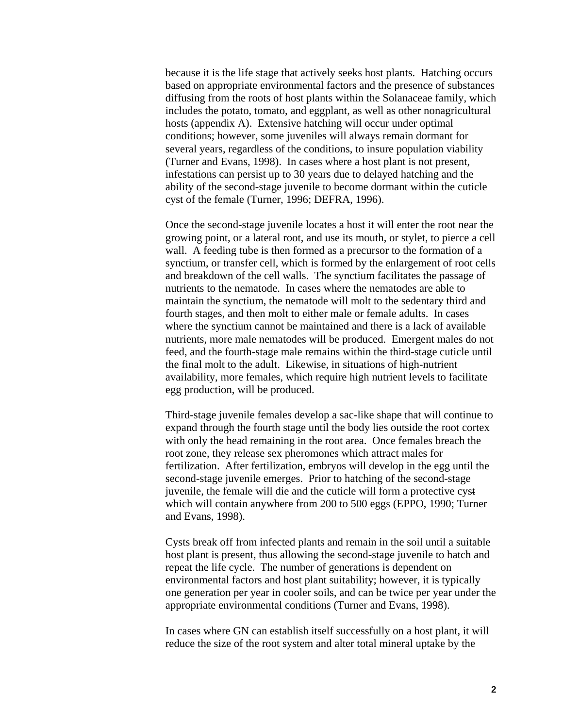because it is the life stage that actively seeks host plants. Hatching occurs based on appropriate environmental factors and the presence of substances diffusing from the roots of host plants within the Solanaceae family, which includes the potato, tomato, and eggplant, as well as other nonagricultural hosts (appendix A). Extensive hatching will occur under optimal conditions; however, some juveniles will always remain dormant for several years, regardless of the conditions, to insure population viability (Turner and Evans, 1998). In cases where a host plant is not present, infestations can persist up to 30 years due to delayed hatching and the ability of the second-stage juvenile to become dormant within the cuticle cyst of the female (Turner, 1996; DEFRA, 1996).

Once the second-stage juvenile locates a host it will enter the root near the growing point, or a lateral root, and use its mouth, or stylet, to pierce a cell wall. A feeding tube is then formed as a precursor to the formation of a synctium, or transfer cell, which is formed by the enlargement of root cells and breakdown of the cell walls. The synctium facilitates the passage of nutrients to the nematode. In cases where the nematodes are able to maintain the synctium, the nematode will molt to the sedentary third and fourth stages, and then molt to either male or female adults. In cases where the synctium cannot be maintained and there is a lack of available nutrients, more male nematodes will be produced. Emergent males do not feed, and the fourth-stage male remains within the third-stage cuticle until the final molt to the adult. Likewise, in situations of high-nutrient availability, more females, which require high nutrient levels to facilitate egg production, will be produced.

Third-stage juvenile females develop a sac-like shape that will continue to expand through the fourth stage until the body lies outside the root cortex with only the head remaining in the root area. Once females breach the root zone, they release sex pheromones which attract males for fertilization. After fertilization, embryos will develop in the egg until the second-stage juvenile emerges. Prior to hatching of the second-stage juvenile, the female will die and the cuticle will form a protective cyst which will contain anywhere from 200 to 500 eggs (EPPO, 1990; Turner and Evans, 1998).

Cysts break off from infected plants and remain in the soil until a suitable host plant is present, thus allowing the second-stage juvenile to hatch and repeat the life cycle. The number of generations is dependent on environmental factors and host plant suitability; however, it is typically one generation per year in cooler soils, and can be twice per year under the appropriate environmental conditions (Turner and Evans, 1998).

In cases where GN can establish itself successfully on a host plant, it will reduce the size of the root system and alter total mineral uptake by the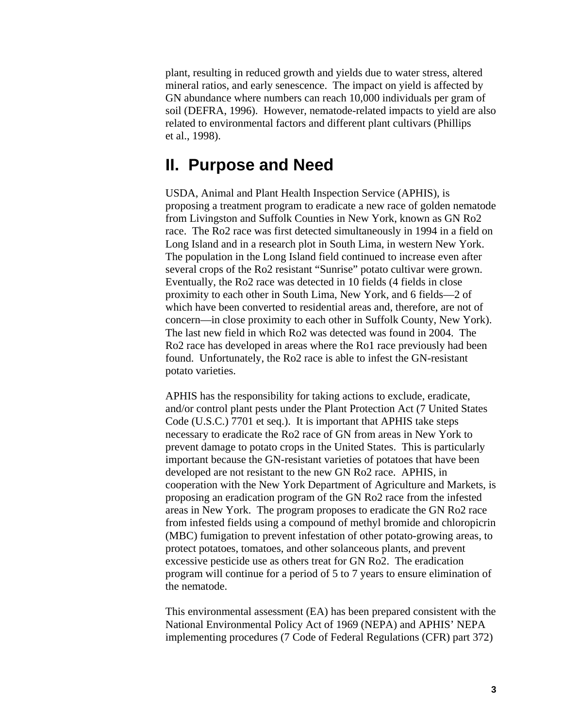plant, resulting in reduced growth and yields due to water stress, altered mineral ratios, and early senescence. The impact on yield is affected by GN abundance where numbers can reach 10,000 individuals per gram of soil (DEFRA, 1996). However, nematode-related impacts to yield are also related to environmental factors and different plant cultivars (Phillips et al., 1998).

### **II. Purpose and Need**

USDA, Animal and Plant Health Inspection Service (APHIS), is proposing a treatment program to eradicate a new race of golden nematode from Livingston and Suffolk Counties in New York, known as GN Ro2 race. The Ro2 race was first detected simultaneously in 1994 in a field on Long Island and in a research plot in South Lima, in western New York. The population in the Long Island field continued to increase even after several crops of the Ro2 resistant "Sunrise" potato cultivar were grown. Eventually, the Ro2 race was detected in 10 fields (4 fields in close proximity to each other in South Lima, New York, and 6 fields—2 of which have been converted to residential areas and, therefore, are not of concern—in close proximity to each other in Suffolk County, New York). The last new field in which Ro2 was detected was found in 2004. The Ro2 race has developed in areas where the Ro1 race previously had been found. Unfortunately, the Ro2 race is able to infest the GN-resistant potato varieties.

APHIS has the responsibility for taking actions to exclude, eradicate, and/or control plant pests under the Plant Protection Act (7 United States Code (U.S.C.) 7701 et seq.). It is important that APHIS take steps necessary to eradicate the Ro2 race of GN from areas in New York to prevent damage to potato crops in the United States. This is particularly important because the GN-resistant varieties of potatoes that have been developed are not resistant to the new GN Ro2 race. APHIS, in cooperation with the New York Department of Agriculture and Markets, is proposing an eradication program of the GN Ro2 race from the infested areas in New York. The program proposes to eradicate the GN Ro2 race from infested fields using a compound of methyl bromide and chloropicrin (MBC) fumigation to prevent infestation of other potato-growing areas, to protect potatoes, tomatoes, and other solanceous plants, and prevent excessive pesticide use as others treat for GN Ro2. The eradication program will continue for a period of 5 to 7 years to ensure elimination of the nematode.

This environmental assessment (EA) has been prepared consistent with the National Environmental Policy Act of 1969 (NEPA) and APHIS' NEPA implementing procedures (7 Code of Federal Regulations (CFR) part 372)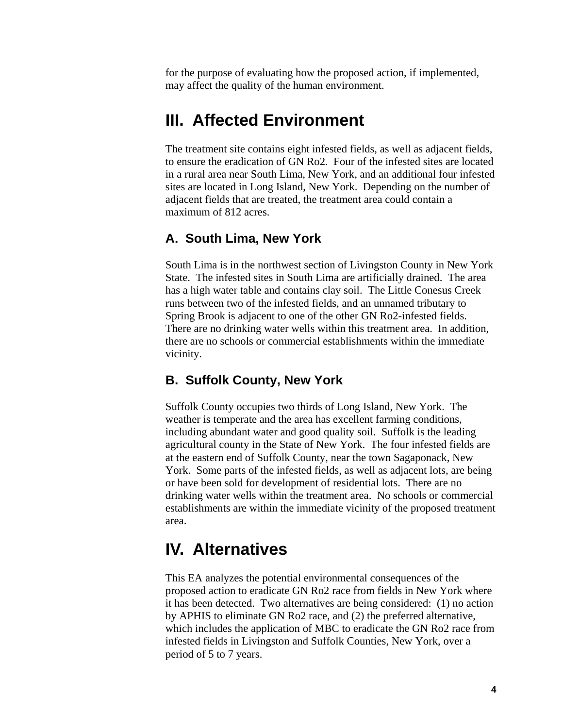for the purpose of evaluating how the proposed action, if implemented, may affect the quality of the human environment.

## **III. Affected Environment**

The treatment site contains eight infested fields, as well as adjacent fields, to ensure the eradication of GN Ro2. Four of the infested sites are located in a rural area near South Lima, New York, and an additional four infested sites are located in Long Island, New York. Depending on the number of adjacent fields that are treated, the treatment area could contain a maximum of 812 acres.

#### **A. South Lima, New York**

South Lima is in the northwest section of Livingston County in New York State. The infested sites in South Lima are artificially drained. The area has a high water table and contains clay soil. The Little Conesus Creek runs between two of the infested fields, and an unnamed tributary to Spring Brook is adjacent to one of the other GN Ro2-infested fields. There are no drinking water wells within this treatment area. In addition, there are no schools or commercial establishments within the immediate vicinity.

#### **B. Suffolk County, New York**

Suffolk County occupies two thirds of Long Island, New York. The weather is temperate and the area has excellent farming conditions, including abundant water and good quality soil. Suffolk is the leading agricultural county in the State of New York. The four infested fields are at the eastern end of Suffolk County, near the town Sagaponack, New York. Some parts of the infested fields, as well as adjacent lots, are being or have been sold for development of residential lots. There are no drinking water wells within the treatment area. No schools or commercial establishments are within the immediate vicinity of the proposed treatment area.

## **IV. Alternatives**

This EA analyzes the potential environmental consequences of the proposed action to eradicate GN Ro2 race from fields in New York where it has been detected. Two alternatives are being considered: (1) no action by APHIS to eliminate GN Ro2 race, and (2) the preferred alternative, which includes the application of MBC to eradicate the GN Ro2 race from infested fields in Livingston and Suffolk Counties, New York, over a period of 5 to 7 years.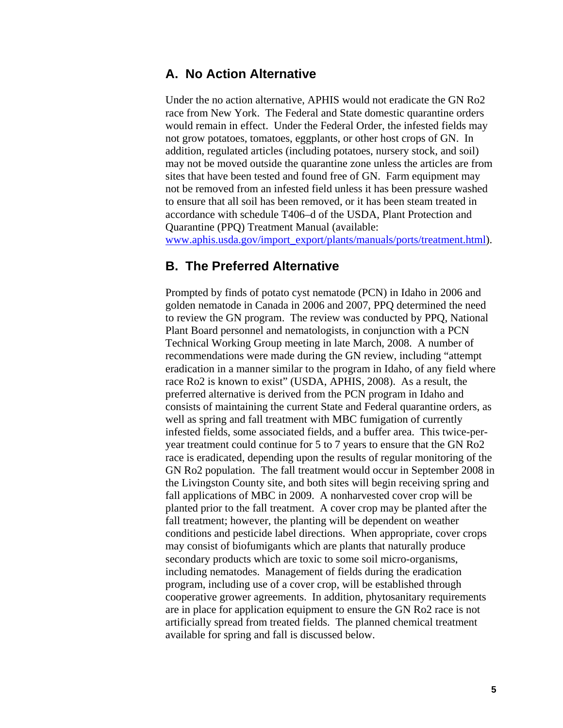#### **A. No Action Alternative**

Under the no action alternative, APHIS would not eradicate the GN Ro2 race from New York. The Federal and State domestic quarantine orders would remain in effect. Under the Federal Order, the infested fields may not grow potatoes, tomatoes, eggplants, or other host crops of GN. In addition, regulated articles (including potatoes, nursery stock, and soil) may not be moved outside the quarantine zone unless the articles are from sites that have been tested and found free of GN. Farm equipment may not be removed from an infested field unless it has been pressure washed to ensure that all soil has been removed, or it has been steam treated in accordance with schedule T406–d of the USDA, Plant Protection and Quarantine (PPQ) Treatment Manual (available:

[www.aphis.usda.gov/import\\_export/plants/manuals/ports/treatment.html\)](http://www.aphis.usda.gov/import_export/plants/manuals/ports/treatment.html).

#### **B. The Preferred Alternative**

Prompted by finds of potato cyst nematode (PCN) in Idaho in 2006 and golden nematode in Canada in 2006 and 2007, PPQ determined the need to review the GN program. The review was conducted by PPQ, National Plant Board personnel and nematologists, in conjunction with a PCN Technical Working Group meeting in late March, 2008. A number of recommendations were made during the GN review, including "attempt eradication in a manner similar to the program in Idaho, of any field where race Ro2 is known to exist" (USDA, APHIS, 2008). As a result, the preferred alternative is derived from the PCN program in Idaho and consists of maintaining the current State and Federal quarantine orders, as well as spring and fall treatment with MBC fumigation of currently infested fields, some associated fields, and a buffer area. This twice-peryear treatment could continue for 5 to 7 years to ensure that the GN Ro2 race is eradicated, depending upon the results of regular monitoring of the GN Ro2 population. The fall treatment would occur in September 2008 in the Livingston County site, and both sites will begin receiving spring and fall applications of MBC in 2009. A nonharvested cover crop will be planted prior to the fall treatment. A cover crop may be planted after the fall treatment; however, the planting will be dependent on weather conditions and pesticide label directions. When appropriate, cover crops may consist of biofumigants which are plants that naturally produce secondary products which are toxic to some soil micro-organisms, including nematodes. Management of fields during the eradication program, including use of a cover crop, will be established through cooperative grower agreements. In addition, phytosanitary requirements are in place for application equipment to ensure the GN Ro2 race is not artificially spread from treated fields. The planned chemical treatment available for spring and fall is discussed below.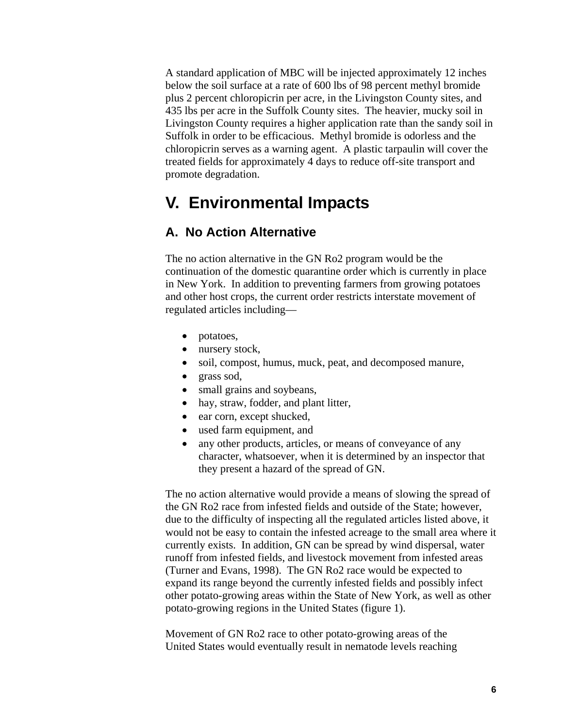A standard application of MBC will be injected approximately 12 inches below the soil surface at a rate of 600 lbs of 98 percent methyl bromide plus 2 percent chloropicrin per acre, in the Livingston County sites, and 435 lbs per acre in the Suffolk County sites. The heavier, mucky soil in Livingston County requires a higher application rate than the sandy soil in Suffolk in order to be efficacious. Methyl bromide is odorless and the chloropicrin serves as a warning agent. A plastic tarpaulin will cover the treated fields for approximately 4 days to reduce off-site transport and promote degradation.

## **V. Environmental Impacts**

#### **A. No Action Alternative**

The no action alternative in the GN Ro2 program would be the continuation of the domestic quarantine order which is currently in place in New York. In addition to preventing farmers from growing potatoes and other host crops, the current order restricts interstate movement of regulated articles including—

- potatoes,
- nursery stock,
- soil, compost, humus, muck, peat, and decomposed manure,
- grass sod,
- small grains and soybeans,
- hay, straw, fodder, and plant litter,
- ear corn, except shucked,
- used farm equipment, and
- any other products, articles, or means of conveyance of any character, whatsoever, when it is determined by an inspector that they present a hazard of the spread of GN.

The no action alternative would provide a means of slowing the spread of the GN Ro2 race from infested fields and outside of the State; however, due to the difficulty of inspecting all the regulated articles listed above, it would not be easy to contain the infested acreage to the small area where it currently exists. In addition, GN can be spread by wind dispersal, water runoff from infested fields, and livestock movement from infested areas (Turner and Evans, 1998). The GN Ro2 race would be expected to expand its range beyond the currently infested fields and possibly infect other potato-growing areas within the State of New York, as well as other potato-growing regions in the United States (figure 1).

Movement of GN Ro2 race to other potato-growing areas of the United States would eventually result in nematode levels reaching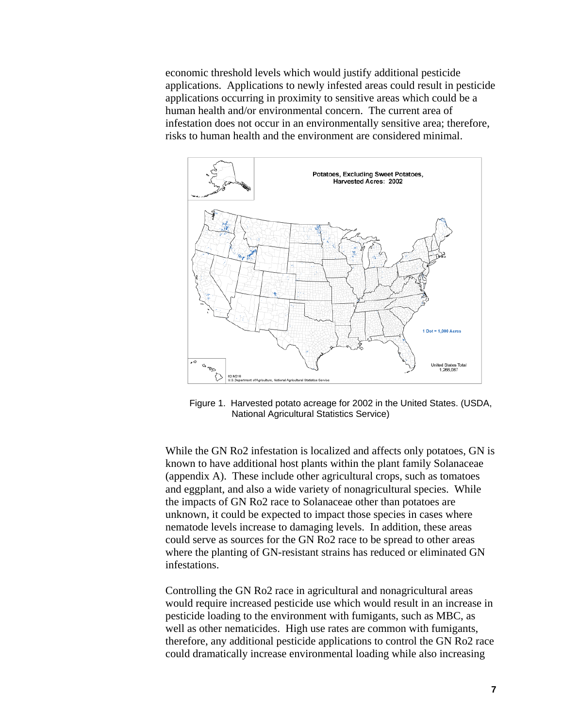economic threshold levels which would justify additional pesticide applications. Applications to newly infested areas could result in pesticide applications occurring in proximity to sensitive areas which could be a human health and/or environmental concern. The current area of infestation does not occur in an environmentally sensitive area; therefore, risks to human health and the environment are considered minimal.



Figure 1. Harvested potato acreage for 2002 in the United States. (USDA, National Agricultural Statistics Service)

While the GN Ro2 infestation is localized and affects only potatoes, GN is known to have additional host plants within the plant family Solanaceae (appendix A). These include other agricultural crops, such as tomatoes and eggplant, and also a wide variety of nonagricultural species. While the impacts of GN Ro2 race to Solanaceae other than potatoes are unknown, it could be expected to impact those species in cases where nematode levels increase to damaging levels. In addition, these areas could serve as sources for the GN Ro2 race to be spread to other areas where the planting of GN-resistant strains has reduced or eliminated GN infestations.

Controlling the GN Ro2 race in agricultural and nonagricultural areas would require increased pesticide use which would result in an increase in pesticide loading to the environment with fumigants, such as MBC, as well as other nematicides. High use rates are common with fumigants, therefore, any additional pesticide applications to control the GN Ro2 race could dramatically increase environmental loading while also increasing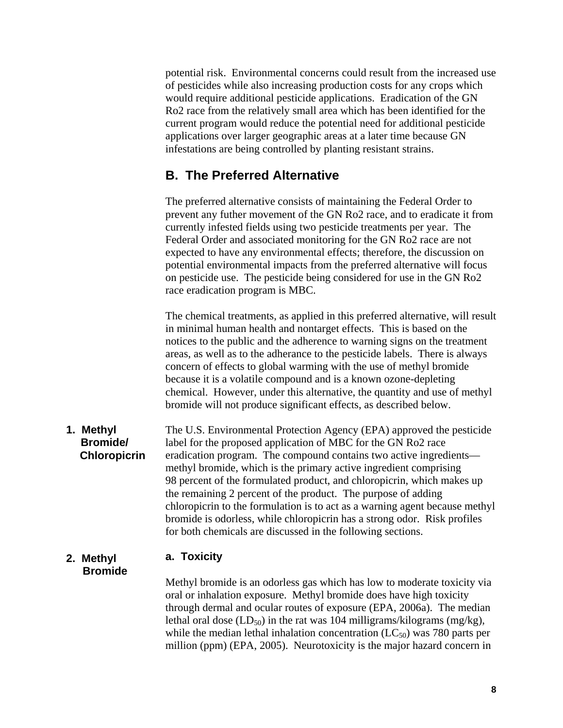potential risk. Environmental concerns could result from the increased use of pesticides while also increasing production costs for any crops which would require additional pesticide applications. Eradication of the GN Ro2 race from the relatively small area which has been identified for the current program would reduce the potential need for additional pesticide applications over larger geographic areas at a later time because GN infestations are being controlled by planting resistant strains.

#### **B. The Preferred Alternative**

The preferred alternative consists of maintaining the Federal Order to prevent any futher movement of the GN Ro2 race, and to eradicate it from currently infested fields using two pesticide treatments per year. The Federal Order and associated monitoring for the GN Ro2 race are not expected to have any environmental effects; therefore, the discussion on potential environmental impacts from the preferred alternative will focus on pesticide use. The pesticide being considered for use in the GN Ro2 race eradication program is MBC.

The chemical treatments, as applied in this preferred alternative, will result in minimal human health and nontarget effects. This is based on the notices to the public and the adherence to warning signs on the treatment areas, as well as to the adherance to the pesticide labels. There is always concern of effects to global warming with the use of methyl bromide because it is a volatile compound and is a known ozone-depleting chemical. However, under this alternative, the quantity and use of methyl bromide will not produce significant effects, as described below.

The U.S. Environmental Protection Agency (EPA) approved the pesticide label for the proposed application of MBC for the GN Ro2 race eradication program. The compound contains two active ingredients methyl bromide, which is the primary active ingredient comprising 98 percent of the formulated product, and chloropicrin, which makes up the remaining 2 percent of the product. The purpose of adding chloropicrin to the formulation is to act as a warning agent because methyl bromide is odorless, while chloropicrin has a strong odor. Risk profiles for both chemicals are discussed in the following sections. **1. Methyl Bromide/ Chloropicrin** 

#### **2. Methyl a. Toxicity Bromide**

Methyl bromide is an odorless gas which has low to moderate toxicity via oral or inhalation exposure. Methyl bromide does have high toxicity through dermal and ocular routes of exposure (EPA, 2006a). The median lethal oral dose  $(LD_{50})$  in the rat was 104 milligrams/kilograms (mg/kg), while the median lethal inhalation concentration  $(LC_{50})$  was 780 parts per million (ppm) (EPA, 2005). Neurotoxicity is the major hazard concern in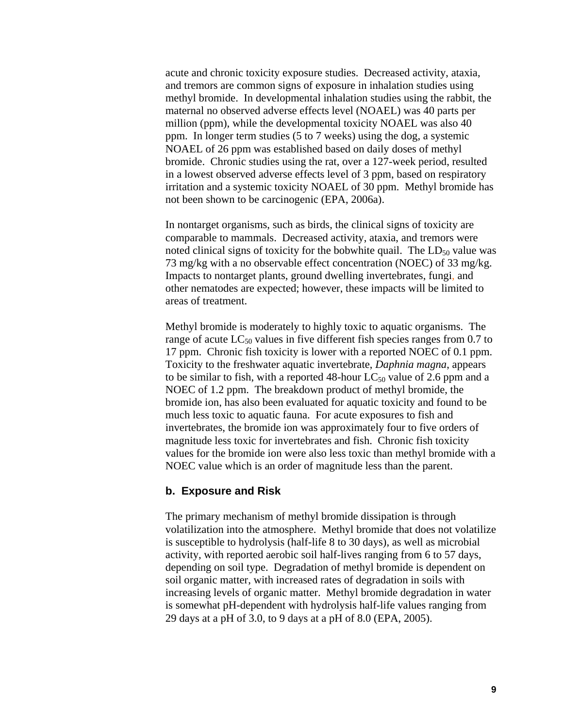acute and chronic toxicity exposure studies. Decreased activity, ataxia, and tremors are common signs of exposure in inhalation studies using methyl bromide. In developmental inhalation studies using the rabbit, the maternal no observed adverse effects level (NOAEL) was 40 parts per million (ppm), while the developmental toxicity NOAEL was also 40 ppm. In longer term studies (5 to 7 weeks) using the dog, a systemic NOAEL of 26 ppm was established based on daily doses of methyl bromide. Chronic studies using the rat, over a 127-week period, resulted in a lowest observed adverse effects level of 3 ppm, based on respiratory irritation and a systemic toxicity NOAEL of 30 ppm. Methyl bromide has not been shown to be carcinogenic (EPA, 2006a).

In nontarget organisms, such as birds, the clinical signs of toxicity are comparable to mammals. Decreased activity, ataxia, and tremors were noted clinical signs of toxicity for the bobwhite quail. The  $LD_{50}$  value was 73 mg/kg with a no observable effect concentration (NOEC) of 33 mg/kg. Impacts to nontarget plants, ground dwelling invertebrates, fungi, and other nematodes are expected; however, these impacts will be limited to areas of treatment.

Methyl bromide is moderately to highly toxic to aquatic organisms. The range of acute  $LC_{50}$  values in five different fish species ranges from 0.7 to 17 ppm. Chronic fish toxicity is lower with a reported NOEC of 0.1 ppm. Toxicity to the freshwater aquatic invertebrate, *Daphnia magna*, appears to be similar to fish, with a reported 48-hour  $LC_{50}$  value of 2.6 ppm and a NOEC of 1.2 ppm. The breakdown product of methyl bromide, the bromide ion, has also been evaluated for aquatic toxicity and found to be much less toxic to aquatic fauna. For acute exposures to fish and invertebrates, the bromide ion was approximately four to five orders of magnitude less toxic for invertebrates and fish. Chronic fish toxicity values for the bromide ion were also less toxic than methyl bromide with a NOEC value which is an order of magnitude less than the parent.

#### **b. Exposure and Risk**

The primary mechanism of methyl bromide dissipation is through volatilization into the atmosphere. Methyl bromide that does not volatilize is susceptible to hydrolysis (half-life 8 to 30 days), as well as microbial activity, with reported aerobic soil half-lives ranging from 6 to 57 days, depending on soil type. Degradation of methyl bromide is dependent on soil organic matter, with increased rates of degradation in soils with increasing levels of organic matter. Methyl bromide degradation in water is somewhat pH-dependent with hydrolysis half-life values ranging from 29 days at a pH of 3.0, to 9 days at a pH of 8.0 (EPA, 2005).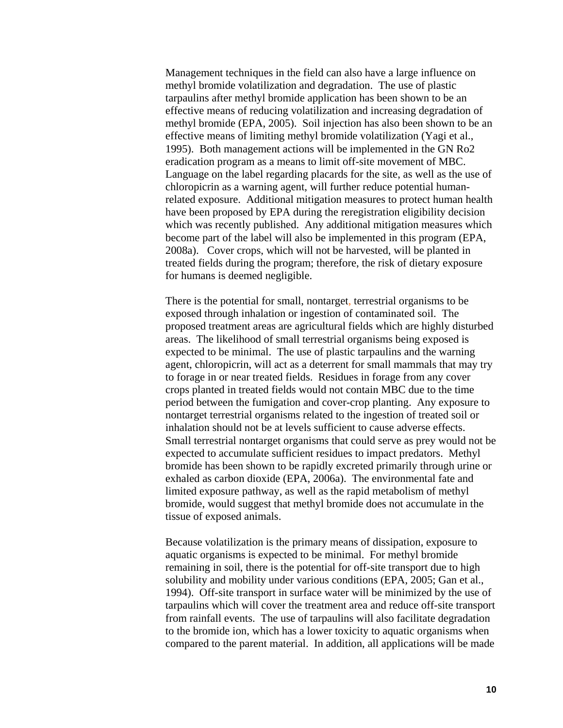Management techniques in the field can also have a large influence on methyl bromide volatilization and degradation. The use of plastic tarpaulins after methyl bromide application has been shown to be an effective means of reducing volatilization and increasing degradation of methyl bromide (EPA, 2005). Soil injection has also been shown to be an effective means of limiting methyl bromide volatilization (Yagi et al., 1995). Both management actions will be implemented in the GN Ro2 eradication program as a means to limit off-site movement of MBC. Language on the label regarding placards for the site, as well as the use of chloropicrin as a warning agent, will further reduce potential humanrelated exposure. Additional mitigation measures to protect human health have been proposed by EPA during the reregistration eligibility decision which was recently published. Any additional mitigation measures which become part of the label will also be implemented in this program (EPA, 2008a). Cover crops, which will not be harvested, will be planted in treated fields during the program; therefore, the risk of dietary exposure for humans is deemed negligible.

There is the potential for small, nontarget, terrestrial organisms to be exposed through inhalation or ingestion of contaminated soil. The proposed treatment areas are agricultural fields which are highly disturbed areas. The likelihood of small terrestrial organisms being exposed is expected to be minimal. The use of plastic tarpaulins and the warning agent, chloropicrin, will act as a deterrent for small mammals that may try to forage in or near treated fields. Residues in forage from any cover crops planted in treated fields would not contain MBC due to the time period between the fumigation and cover-crop planting. Any exposure to nontarget terrestrial organisms related to the ingestion of treated soil or inhalation should not be at levels sufficient to cause adverse effects. Small terrestrial nontarget organisms that could serve as prey would not be expected to accumulate sufficient residues to impact predators. Methyl bromide has been shown to be rapidly excreted primarily through urine or exhaled as carbon dioxide (EPA, 2006a). The environmental fate and limited exposure pathway, as well as the rapid metabolism of methyl bromide, would suggest that methyl bromide does not accumulate in the tissue of exposed animals.

Because volatilization is the primary means of dissipation, exposure to aquatic organisms is expected to be minimal. For methyl bromide remaining in soil, there is the potential for off-site transport due to high solubility and mobility under various conditions (EPA, 2005; Gan et al., 1994). Off-site transport in surface water will be minimized by the use of tarpaulins which will cover the treatment area and reduce off-site transport from rainfall events. The use of tarpaulins will also facilitate degradation to the bromide ion, which has a lower toxicity to aquatic organisms when compared to the parent material. In addition, all applications will be made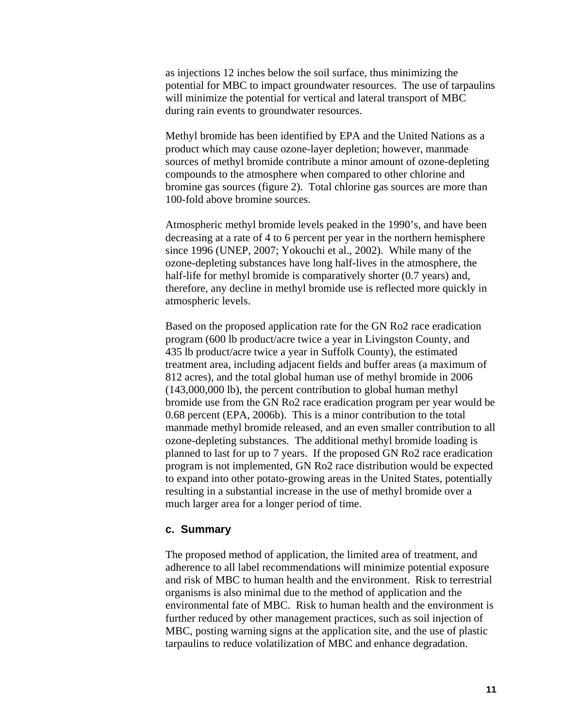as injections 12 inches below the soil surface, thus minimizing the potential for MBC to impact groundwater resources. The use of tarpaulins will minimize the potential for vertical and lateral transport of MBC during rain events to groundwater resources.

Methyl bromide has been identified by EPA and the United Nations as a product which may cause ozone-layer depletion; however, manmade sources of methyl bromide contribute a minor amount of ozone-depleting compounds to the atmosphere when compared to other chlorine and bromine gas sources (figure 2). Total chlorine gas sources are more than 100-fold above bromine sources.

Atmospheric methyl bromide levels peaked in the 1990's, and have been decreasing at a rate of 4 to 6 percent per year in the northern hemisphere since 1996 (UNEP, 2007; Yokouchi et al., 2002). While many of the ozone-depleting substances have long half-lives in the atmosphere, the half-life for methyl bromide is comparatively shorter (0.7 years) and, therefore, any decline in methyl bromide use is reflected more quickly in atmospheric levels.

Based on the proposed application rate for the GN Ro2 race eradication program (600 lb product/acre twice a year in Livingston County, and 435 lb product/acre twice a year in Suffolk County), the estimated treatment area, including adjacent fields and buffer areas (a maximum of 812 acres), and the total global human use of methyl bromide in 2006 (143,000,000 lb), the percent contribution to global human methyl bromide use from the GN Ro2 race eradication program per year would be 0.68 percent (EPA, 2006b). This is a minor contribution to the total manmade methyl bromide released, and an even smaller contribution to all ozone-depleting substances. The additional methyl bromide loading is planned to last for up to 7 years. If the proposed GN Ro2 race eradication program is not implemented, GN Ro2 race distribution would be expected to expand into other potato-growing areas in the United States, potentially resulting in a substantial increase in the use of methyl bromide over a much larger area for a longer period of time.

#### **c. Summary**

The proposed method of application, the limited area of treatment, and adherence to all label recommendations will minimize potential exposure and risk of MBC to human health and the environment. Risk to terrestrial organisms is also minimal due to the method of application and the environmental fate of MBC. Risk to human health and the environment is further reduced by other management practices, such as soil injection of MBC, posting warning signs at the application site, and the use of plastic tarpaulins to reduce volatilization of MBC and enhance degradation.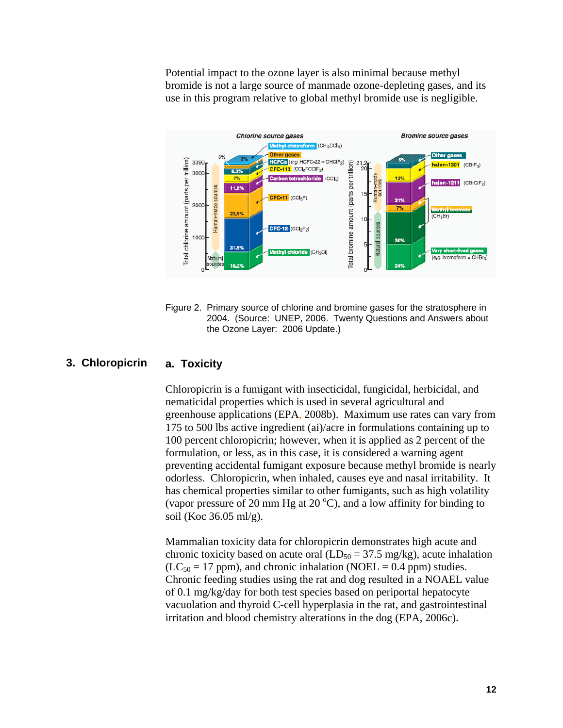Potential impact to the ozone layer is also minimal because methyl bromide is not a large source of manmade ozone-depleting gases, and its use in this program relative to global methyl bromide use is negligible.



Figure 2. Primary source of chlorine and bromine gases for the stratosphere in 2004. (Source: UNEP, 2006. Twenty Questions and Answers about the Ozone Layer: 2006 Update.)

#### **3. Chloropicrin a. Toxicity**

Chloropicrin is a fumigant with insecticidal, fungicidal, herbicidal, and nematicidal properties which is used in several agricultural and greenhouse applications (EPA, 2008b). Maximum use rates can vary from 175 to 500 lbs active ingredient (ai)/acre in formulations containing up to 100 percent chloropicrin; however, when it is applied as 2 percent of the formulation, or less, as in this case, it is considered a warning agent preventing accidental fumigant exposure because methyl bromide is nearly odorless. Chloropicrin, when inhaled, causes eye and nasal irritability. It has chemical properties similar to other fumigants, such as high volatility (vapor pressure of 20 mm Hg at 20  $^{\circ}$ C), and a low affinity for binding to soil (Koc 36.05 ml/g).

Mammalian toxicity data for chloropicrin demonstrates high acute and chronic toxicity based on acute oral  $(LD_{50} = 37.5 \text{ mg/kg})$ , acute inhalation  $(LC_{50} = 17$  ppm), and chronic inhalation (NOEL = 0.4 ppm) studies. Chronic feeding studies using the rat and dog resulted in a NOAEL value of 0.1 mg/kg/day for both test species based on periportal hepatocyte vacuolation and thyroid C-cell hyperplasia in the rat, and gastrointestinal irritation and blood chemistry alterations in the dog (EPA, 2006c).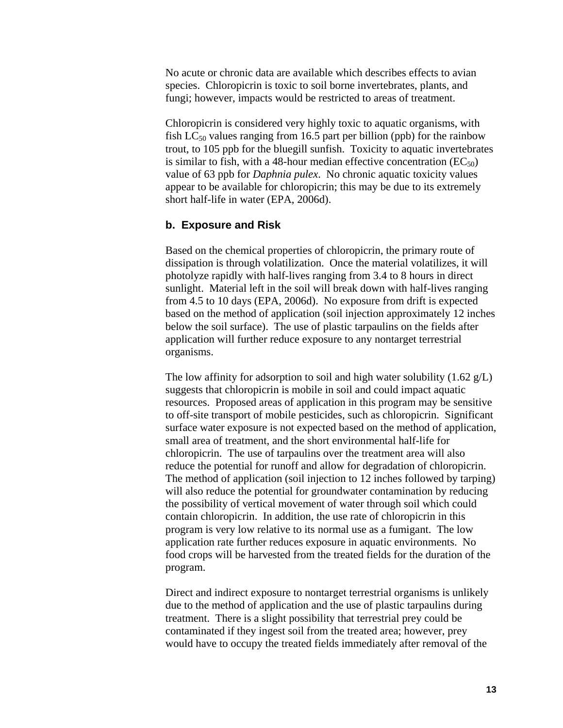No acute or chronic data are available which describes effects to avian species. Chloropicrin is toxic to soil borne invertebrates, plants, and fungi; however, impacts would be restricted to areas of treatment.

Chloropicrin is considered very highly toxic to aquatic organisms, with fish  $LC_{50}$  values ranging from 16.5 part per billion (ppb) for the rainbow trout, to 105 ppb for the bluegill sunfish. Toxicity to aquatic invertebrates is similar to fish, with a 48-hour median effective concentration  $(EC_{50})$ value of 63 ppb for *Daphnia pulex*. No chronic aquatic toxicity values appear to be available for chloropicrin; this may be due to its extremely short half-life in water (EPA, 2006d).

#### **b. Exposure and Risk**

Based on the chemical properties of chloropicrin, the primary route of dissipation is through volatilization. Once the material volatilizes, it will photolyze rapidly with half-lives ranging from 3.4 to 8 hours in direct sunlight. Material left in the soil will break down with half-lives ranging from 4.5 to 10 days (EPA, 2006d). No exposure from drift is expected based on the method of application (soil injection approximately 12 inches below the soil surface). The use of plastic tarpaulins on the fields after application will further reduce exposure to any nontarget terrestrial organisms.

The low affinity for adsorption to soil and high water solubility  $(1.62 \text{ g/L})$ suggests that chloropicrin is mobile in soil and could impact aquatic resources. Proposed areas of application in this program may be sensitive to off-site transport of mobile pesticides, such as chloropicrin. Significant surface water exposure is not expected based on the method of application, small area of treatment, and the short environmental half-life for chloropicrin. The use of tarpaulins over the treatment area will also reduce the potential for runoff and allow for degradation of chloropicrin. The method of application (soil injection to 12 inches followed by tarping) will also reduce the potential for groundwater contamination by reducing the possibility of vertical movement of water through soil which could contain chloropicrin. In addition, the use rate of chloropicrin in this program is very low relative to its normal use as a fumigant. The low application rate further reduces exposure in aquatic environments. No food crops will be harvested from the treated fields for the duration of the program.

Direct and indirect exposure to nontarget terrestrial organisms is unlikely due to the method of application and the use of plastic tarpaulins during treatment. There is a slight possibility that terrestrial prey could be contaminated if they ingest soil from the treated area; however, prey would have to occupy the treated fields immediately after removal of the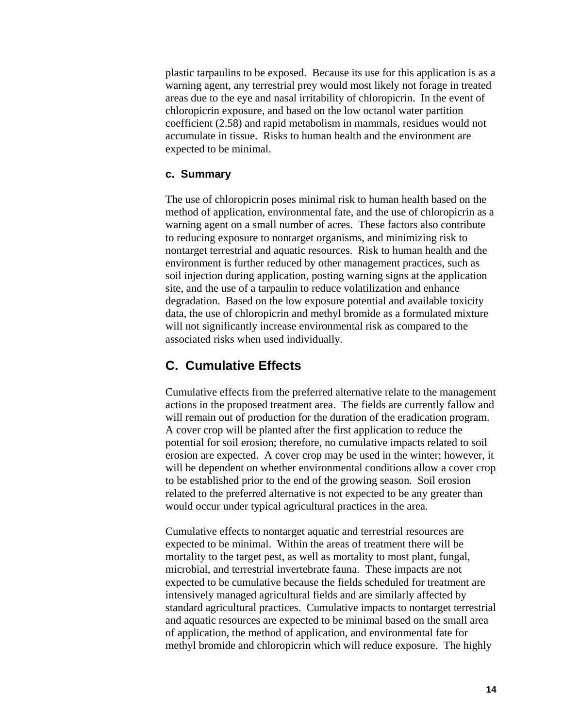plastic tarpaulins to be exposed. Because its use for this application is as a warning agent, any terrestrial prey would most likely not forage in treated areas due to the eye and nasal irritability of chloropicrin. In the event of chloropicrin exposure, and based on the low octanol water partition coefficient (2.58) and rapid metabolism in mammals, residues would not accumulate in tissue. Risks to human health and the environment are expected to be minimal.

#### **c. Summary**

The use of chloropicrin poses minimal risk to human health based on the method of application, environmental fate, and the use of chloropicrin as a warning agent on a small number of acres. These factors also contribute to reducing exposure to nontarget organisms, and minimizing risk to nontarget terrestrial and aquatic resources. Risk to human health and the environment is further reduced by other management practices, such as soil injection during application, posting warning signs at the application site, and the use of a tarpaulin to reduce volatilization and enhance degradation. Based on the low exposure potential and available toxicity data, the use of chloropicrin and methyl bromide as a formulated mixture will not significantly increase environmental risk as compared to the associated risks when used individually.

#### **C. Cumulative Effects**

Cumulative effects from the preferred alternative relate to the management actions in the proposed treatment area. The fields are currently fallow and will remain out of production for the duration of the eradication program. A cover crop will be planted after the first application to reduce the potential for soil erosion; therefore, no cumulative impacts related to soil erosion are expected. A cover crop may be used in the winter; however, it will be dependent on whether environmental conditions allow a cover crop to be established prior to the end of the growing season. Soil erosion related to the preferred alternative is not expected to be any greater than would occur under typical agricultural practices in the area.

Cumulative effects to nontarget aquatic and terrestrial resources are expected to be minimal. Within the areas of treatment there will be mortality to the target pest, as well as mortality to most plant, fungal, microbial, and terrestrial invertebrate fauna. These impacts are not expected to be cumulative because the fields scheduled for treatment are intensively managed agricultural fields and are similarly affected by standard agricultural practices. Cumulative impacts to nontarget terrestrial and aquatic resources are expected to be minimal based on the small area of application, the method of application, and environmental fate for methyl bromide and chloropicrin which will reduce exposure. The highly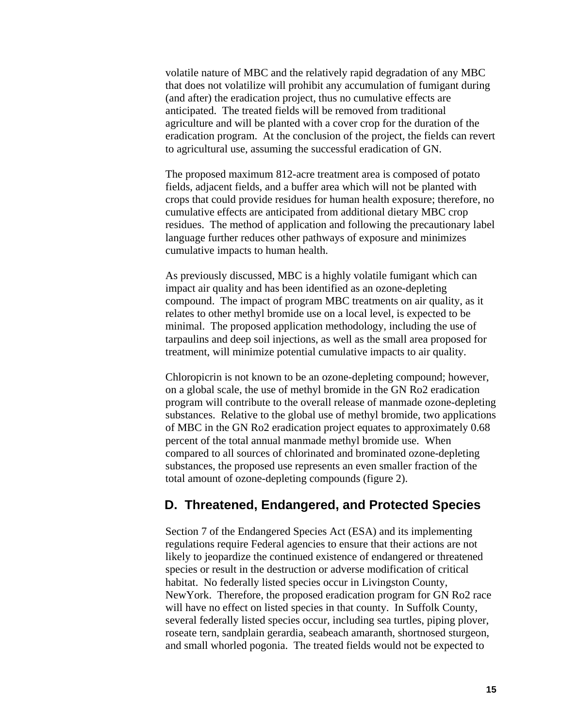volatile nature of MBC and the relatively rapid degradation of any MBC that does not volatilize will prohibit any accumulation of fumigant during (and after) the eradication project, thus no cumulative effects are anticipated. The treated fields will be removed from traditional agriculture and will be planted with a cover crop for the duration of the eradication program. At the conclusion of the project, the fields can revert to agricultural use, assuming the successful eradication of GN.

The proposed maximum 812-acre treatment area is composed of potato fields, adjacent fields, and a buffer area which will not be planted with crops that could provide residues for human health exposure; therefore, no cumulative effects are anticipated from additional dietary MBC crop residues. The method of application and following the precautionary label language further reduces other pathways of exposure and minimizes cumulative impacts to human health.

As previously discussed, MBC is a highly volatile fumigant which can impact air quality and has been identified as an ozone-depleting compound. The impact of program MBC treatments on air quality, as it relates to other methyl bromide use on a local level, is expected to be minimal. The proposed application methodology, including the use of tarpaulins and deep soil injections, as well as the small area proposed for treatment, will minimize potential cumulative impacts to air quality.

Chloropicrin is not known to be an ozone-depleting compound; however, on a global scale, the use of methyl bromide in the GN Ro2 eradication program will contribute to the overall release of manmade ozone-depleting substances. Relative to the global use of methyl bromide, two applications of MBC in the GN Ro2 eradication project equates to approximately 0.68 percent of the total annual manmade methyl bromide use. When compared to all sources of chlorinated and brominated ozone-depleting substances, the proposed use represents an even smaller fraction of the total amount of ozone-depleting compounds (figure 2).

#### **D. Threatened, Endangered, and Protected Species**

Section 7 of the Endangered Species Act (ESA) and its implementing regulations require Federal agencies to ensure that their actions are not likely to jeopardize the continued existence of endangered or threatened species or result in the destruction or adverse modification of critical habitat. No federally listed species occur in Livingston County, NewYork. Therefore, the proposed eradication program for GN Ro2 race will have no effect on listed species in that county. In Suffolk County, several federally listed species occur, including sea turtles, piping plover, roseate tern, sandplain gerardia, seabeach amaranth, shortnosed sturgeon, and small whorled pogonia. The treated fields would not be expected to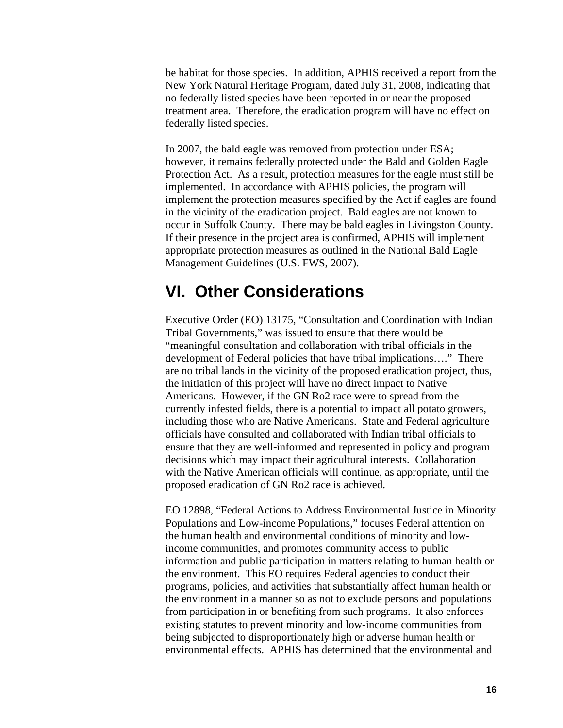be habitat for those species. In addition, APHIS received a report from the New York Natural Heritage Program, dated July 31, 2008, indicating that no federally listed species have been reported in or near the proposed treatment area. Therefore, the eradication program will have no effect on federally listed species.

In 2007, the bald eagle was removed from protection under ESA; however, it remains federally protected under the Bald and Golden Eagle Protection Act. As a result, protection measures for the eagle must still be implemented. In accordance with APHIS policies, the program will implement the protection measures specified by the Act if eagles are found in the vicinity of the eradication project. Bald eagles are not known to occur in Suffolk County. There may be bald eagles in Livingston County. If their presence in the project area is confirmed, APHIS will implement appropriate protection measures as outlined in the National Bald Eagle Management Guidelines (U.S. FWS, 2007).

## **VI. Other Considerations**

Executive Order (EO) 13175, "Consultation and Coordination with Indian Tribal Governments," was issued to ensure that there would be "meaningful consultation and collaboration with tribal officials in the development of Federal policies that have tribal implications…." There are no tribal lands in the vicinity of the proposed eradication project, thus, the initiation of this project will have no direct impact to Native Americans. However, if the GN Ro2 race were to spread from the currently infested fields, there is a potential to impact all potato growers, including those who are Native Americans. State and Federal agriculture officials have consulted and collaborated with Indian tribal officials to ensure that they are well-informed and represented in policy and program decisions which may impact their agricultural interests. Collaboration with the Native American officials will continue, as appropriate, until the proposed eradication of GN Ro2 race is achieved.

EO 12898, "Federal Actions to Address Environmental Justice in Minority Populations and Low-income Populations," focuses Federal attention on the human health and environmental conditions of minority and lowincome communities, and promotes community access to public information and public participation in matters relating to human health or the environment. This EO requires Federal agencies to conduct their programs, policies, and activities that substantially affect human health or the environment in a manner so as not to exclude persons and populations from participation in or benefiting from such programs. It also enforces existing statutes to prevent minority and low-income communities from being subjected to disproportionately high or adverse human health or environmental effects. APHIS has determined that the environmental and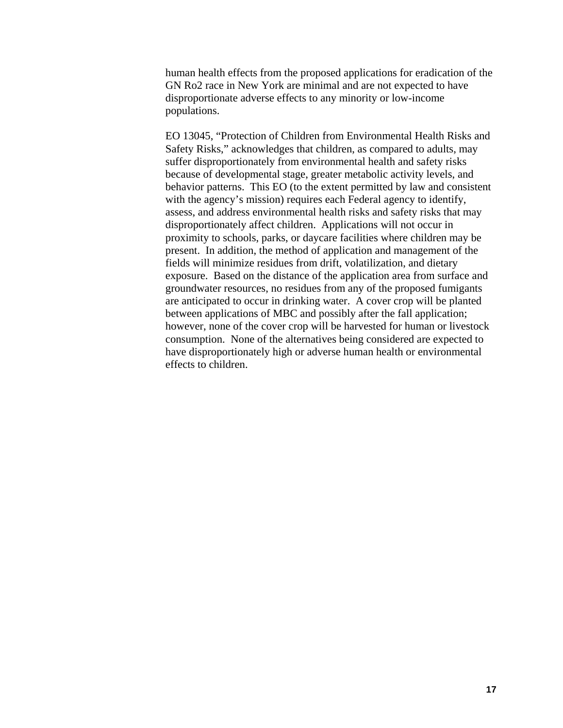human health effects from the proposed applications for eradication of the GN Ro2 race in New York are minimal and are not expected to have disproportionate adverse effects to any minority or low-income populations.

EO 13045, "Protection of Children from Environmental Health Risks and Safety Risks," acknowledges that children, as compared to adults, may suffer disproportionately from environmental health and safety risks because of developmental stage, greater metabolic activity levels, and behavior patterns. This EO (to the extent permitted by law and consistent with the agency's mission) requires each Federal agency to identify, assess, and address environmental health risks and safety risks that may disproportionately affect children. Applications will not occur in proximity to schools, parks, or daycare facilities where children may be present. In addition, the method of application and management of the fields will minimize residues from drift, volatilization, and dietary exposure. Based on the distance of the application area from surface and groundwater resources, no residues from any of the proposed fumigants are anticipated to occur in drinking water. A cover crop will be planted between applications of MBC and possibly after the fall application; however, none of the cover crop will be harvested for human or livestock consumption. None of the alternatives being considered are expected to have disproportionately high or adverse human health or environmental effects to children.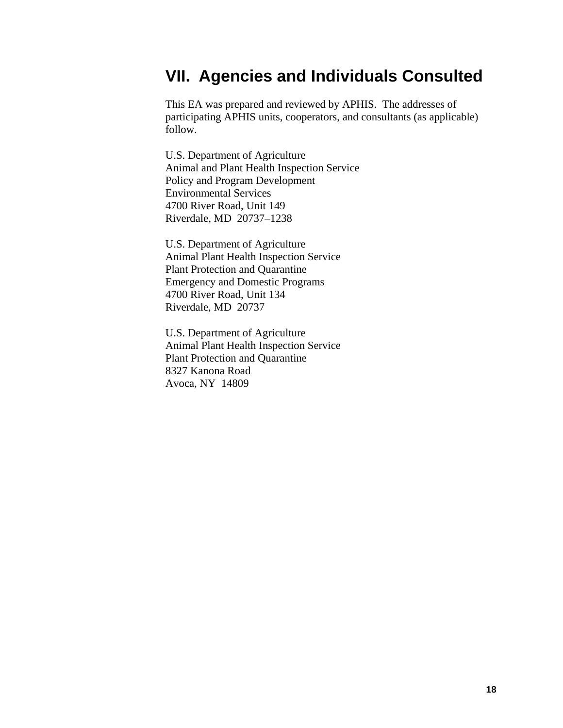## **VII. Agencies and Individuals Consulted**

This EA was prepared and reviewed by APHIS. The addresses of participating APHIS units, cooperators, and consultants (as applicable) follow.

U.S. Department of Agriculture Animal and Plant Health Inspection Service Policy and Program Development Environmental Services 4700 River Road, Unit 149 Riverdale, MD 20737–1238

U.S. Department of Agriculture Animal Plant Health Inspection Service Plant Protection and Quarantine Emergency and Domestic Programs 4700 River Road, Unit 134 Riverdale, MD 20737

U.S. Department of Agriculture Animal Plant Health Inspection Service Plant Protection and Quarantine 8327 Kanona Road Avoca, NY 14809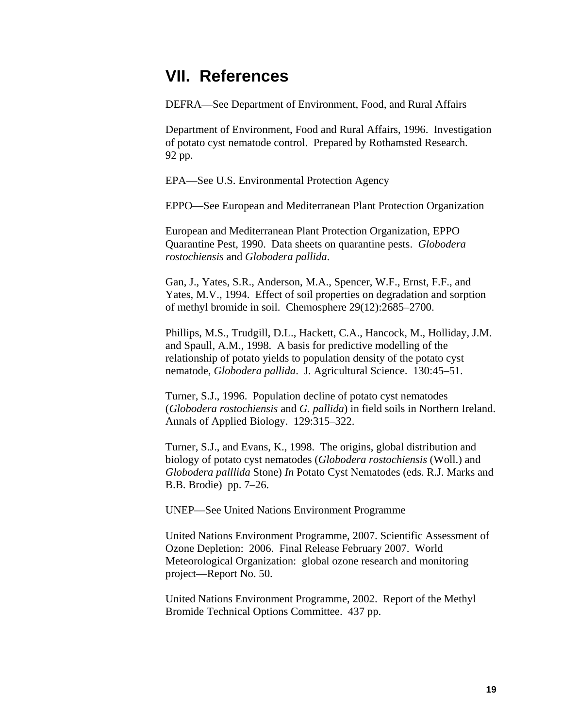## **VII. References**

DEFRA—See Department of Environment, Food, and Rural Affairs

Department of Environment, Food and Rural Affairs, 1996. Investigation of potato cyst nematode control. Prepared by Rothamsted Research. 92 pp.

EPA—See U.S. Environmental Protection Agency

EPPO—See European and Mediterranean Plant Protection Organization

European and Mediterranean Plant Protection Organization, EPPO Quarantine Pest, 1990. Data sheets on quarantine pests. *Globodera rostochiensis* and *Globodera pallida*.

Gan, J., Yates, S.R., Anderson, M.A., Spencer, W.F., Ernst, F.F., and Yates, M.V., 1994. Effect of soil properties on degradation and sorption of methyl bromide in soil. Chemosphere 29(12):2685–2700.

Phillips, M.S., Trudgill, D.L., Hackett, C.A., Hancock, M., Holliday, J.M. and Spaull, A.M., 1998. A basis for predictive modelling of the relationship of potato yields to population density of the potato cyst nematode, *Globodera pallida*. J. Agricultural Science. 130:45–51.

Turner, S.J., 1996. Population decline of potato cyst nematodes (*Globodera rostochiensis* and *G. pallida*) in field soils in Northern Ireland. Annals of Applied Biology. 129:315–322.

Turner, S.J., and Evans, K., 1998. The origins, global distribution and biology of potato cyst nematodes (*Globodera rostochiensis* (Woll.) and *Globodera palllida* Stone) *In* Potato Cyst Nematodes (eds. R.J. Marks and B.B. Brodie) pp. 7–26.

UNEP—See United Nations Environment Programme

United Nations Environment Programme, 2007. Scientific Assessment of Ozone Depletion: 2006. Final Release February 2007. World Meteorological Organization: global ozone research and monitoring project—Report No. 50.

United Nations Environment Programme, 2002. Report of the Methyl Bromide Technical Options Committee. 437 pp.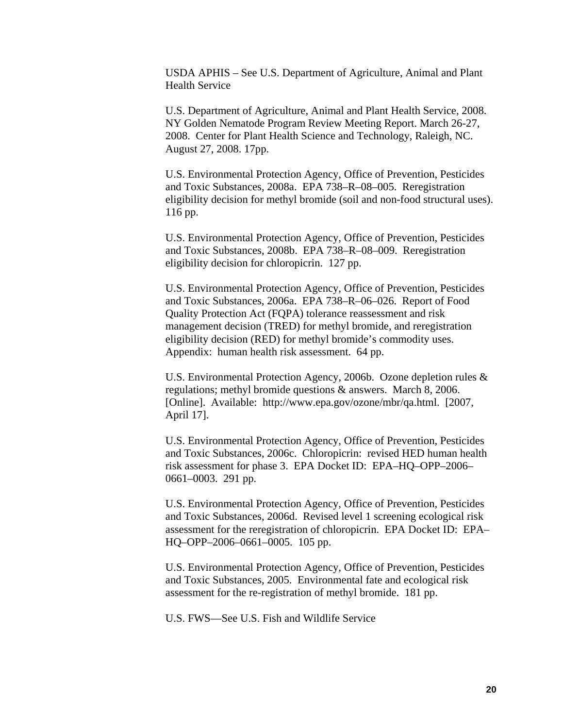USDA APHIS – See U.S. Department of Agriculture, Animal and Plant Health Service

U.S. Department of Agriculture, Animal and Plant Health Service, 2008. NY Golden Nematode Program Review Meeting Report. March 26-27, 2008. Center for Plant Health Science and Technology, Raleigh, NC. August 27, 2008. 17pp.

U.S. Environmental Protection Agency, Office of Prevention, Pesticides and Toxic Substances, 2008a. EPA 738–R–08–005. Reregistration eligibility decision for methyl bromide (soil and non-food structural uses). 116 pp.

U.S. Environmental Protection Agency, Office of Prevention, Pesticides and Toxic Substances, 2008b. EPA 738–R–08–009. Reregistration eligibility decision for chloropicrin. 127 pp.

U.S. Environmental Protection Agency, Office of Prevention, Pesticides and Toxic Substances, 2006a. EPA 738–R–06–026. Report of Food Quality Protection Act (FQPA) tolerance reassessment and risk management decision (TRED) for methyl bromide, and reregistration eligibility decision (RED) for methyl bromide's commodity uses. Appendix: human health risk assessment. 64 pp.

U.S. Environmental Protection Agency, 2006b. Ozone depletion rules & regulations; methyl bromide questions & answers. March 8, 2006. [Online]. Available: <http://www.epa.gov/ozone/mbr/qa.html>. [2007, April 17].

U.S. Environmental Protection Agency, Office of Prevention, Pesticides and Toxic Substances, 2006c. Chloropicrin: revised HED human health risk assessment for phase 3. EPA Docket ID: EPA–HQ–OPP–2006– 0661–0003. 291 pp.

U.S. Environmental Protection Agency, Office of Prevention, Pesticides and Toxic Substances, 2006d. Revised level 1 screening ecological risk assessment for the reregistration of chloropicrin. EPA Docket ID: EPA– HQ–OPP–2006–0661–0005. 105 pp.

U.S. Environmental Protection Agency, Office of Prevention, Pesticides and Toxic Substances, 2005. Environmental fate and ecological risk assessment for the re-registration of methyl bromide. 181 pp.

U.S. FWS—See U.S. Fish and Wildlife Service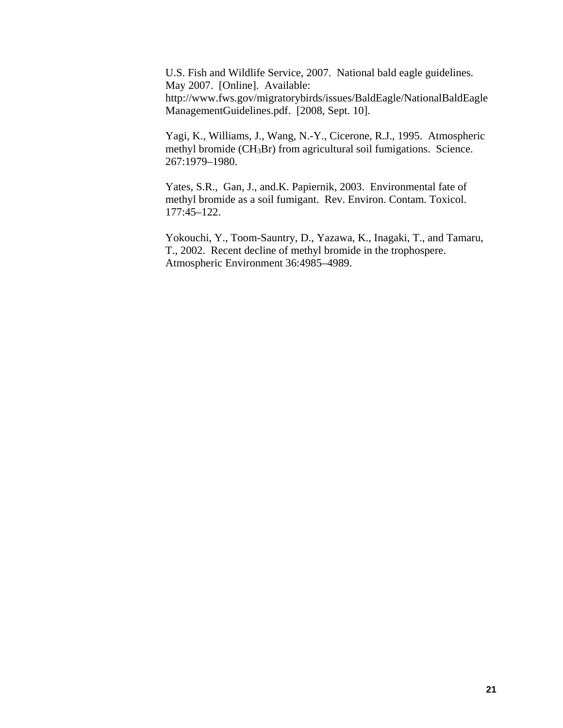U.S. Fish and Wildlife Service, 2007. National bald eagle guidelines. May 2007. [Online]. Available: http://www.fws.gov/migratorybirds/issues/BaldEagle/NationalBaldEagle ManagementGuidelines.pdf. [2008, Sept. 10].

Yagi, K., Williams, J., Wang, N.-Y., Cicerone, R.J., 1995. Atmospheric methyl bromide (CH<sub>3</sub>Br) from agricultural soil fumigations. Science. 267:1979–1980.

Yates, S.R., Gan, J., and.K. Papiernik, 2003. Environmental fate of methyl bromide as a soil fumigant. Rev. Environ. Contam. Toxicol. 177:45–122.

Yokouchi, Y., Toom-Sauntry, D., Yazawa, K., Inagaki, T., and Tamaru, T., 2002. Recent decline of methyl bromide in the trophospere. Atmospheric Environment 36:4985–4989.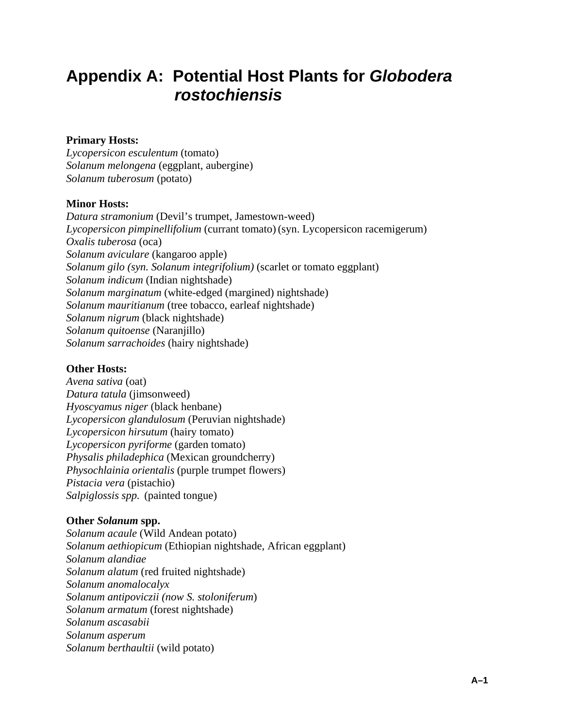## **Appendix A: Potential Host Plants for** *Globodera rostochiensis*

#### **Primary Hosts:**

*Lycopersicon esculentum* (tomato) *Solanum melongena* (eggplant, aubergine) *Solanum tuberosum* (potato)

#### **Minor Hosts:**

*Datura stramonium* (Devil's trumpet, Jamestown-weed) *Lycopersicon pimpinellifolium* (currant tomato) (syn. Lycopersicon racemigerum) *Oxalis tuberosa* (oca) *Solanum aviculare* (kangaroo apple) *Solanum gilo (syn. Solanum integrifolium)* (scarlet or tomato eggplant) *Solanum indicum* (Indian nightshade) *Solanum marginatum* (white-edged (margined) nightshade) *Solanum mauritianum* (tree tobacco, earleaf nightshade) *Solanum nigrum* (black nightshade) *Solanum quitoense* (Naranjillo) *Solanum sarrachoides* (hairy nightshade)

#### **Other Hosts:**

*Avena sativa* (oat) *Datura tatula* (jimsonweed) *Hyoscyamus niger* (black henbane) *Lycopersicon glandulosum* (Peruvian nightshade) *Lycopersicon hirsutum* (hairy tomato) *Lycopersicon pyriforme* (garden tomato) *Physalis philadephica* (Mexican groundcherry) *Physochlainia orientalis* (purple trumpet flowers) *Pistacia vera* (pistachio) *Salpiglossis spp.* (painted tongue)

#### **Other** *Solanum* **spp.**

*Solanum acaule* (Wild Andean potato) *Solanum aethiopicum* (Ethiopian nightshade, African eggplant) *Solanum alandiae Solanum alatum* (red fruited nightshade) *Solanum anomalocalyx Solanum antipoviczii (now S. stoloniferum*) *Solanum armatum* (forest nightshade) *Solanum ascasabii Solanum asperum Solanum berthaultii* (wild potato)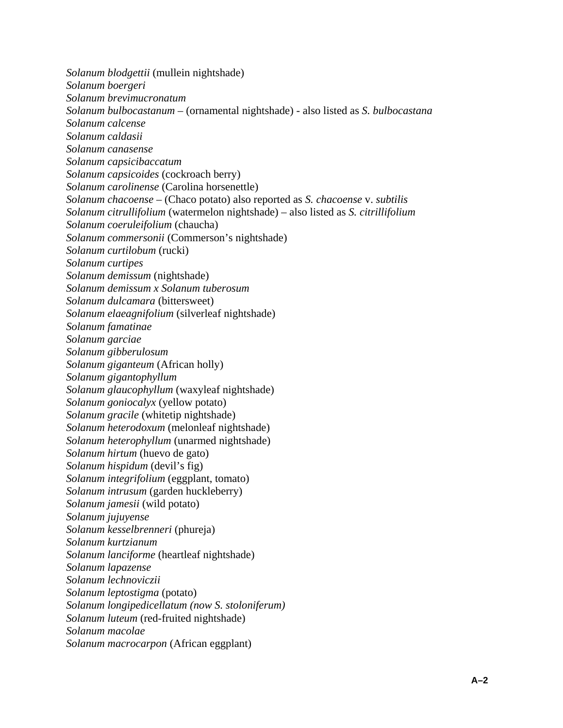*Solanum blodgettii* (mullein nightshade) *Solanum boergeri Solanum brevimucronatum Solanum bulbocastanum* – (ornamental nightshade) - also listed as *S. bulbocastana Solanum calcense Solanum caldasii Solanum canasense Solanum capsicibaccatum Solanum capsicoides* (cockroach berry) *Solanum carolinense* (Carolina horsenettle) *Solanum chacoense* – (Chaco potato) also reported as *S. chacoense* v. *subtilis Solanum citrullifolium* (watermelon nightshade) – also listed as *S. citrillifolium Solanum coeruleifolium* (chaucha) *Solanum commersonii* (Commerson's nightshade) *Solanum curtilobum* (rucki) *Solanum curtipes Solanum demissum* (nightshade) *Solanum demissum x Solanum tuberosum Solanum dulcamara* (bittersweet) *Solanum elaeagnifolium* (silverleaf nightshade) *Solanum famatinae Solanum garciae Solanum gibberulosum Solanum giganteum* (African holly) *Solanum gigantophyllum Solanum glaucophyllum* (waxyleaf nightshade) *Solanum goniocalyx* (yellow potato) *Solanum gracile* (whitetip nightshade) *Solanum heterodoxum* (melonleaf nightshade) *Solanum heterophyllum* (unarmed nightshade) *Solanum hirtum* (huevo de gato) *Solanum hispidum* (devil's fig) *Solanum integrifolium* (eggplant, tomato) *Solanum intrusum* (garden huckleberry) *Solanum jamesii* (wild potato) *Solanum jujuyense Solanum kesselbrenneri* (phureja) *Solanum kurtzianum Solanum lanciforme* (heartleaf nightshade) *Solanum lapazense Solanum lechnoviczii Solanum leptostigma* (potato) *Solanum longipedicellatum (now S. stoloniferum) Solanum luteum* (red-fruited nightshade) *Solanum macolae Solanum macrocarpon* (African eggplant)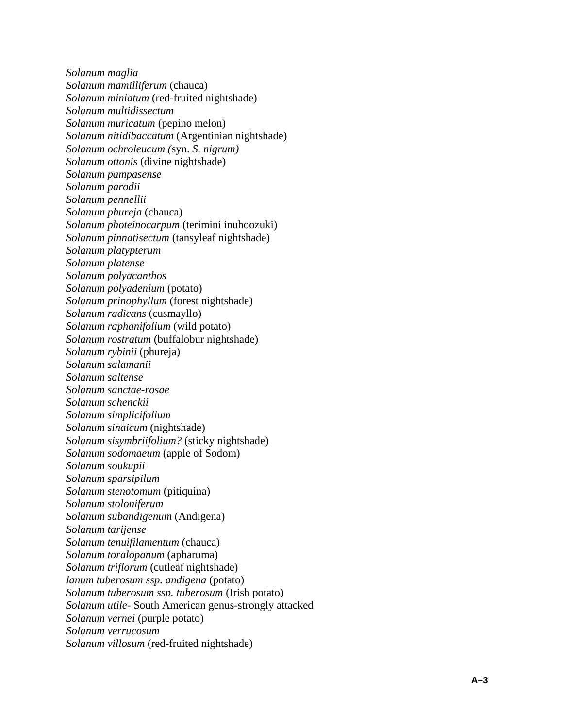*Solanum maglia Solanum mamilliferum* (chauca) *Solanum miniatum* (red-fruited nightshade) *Solanum multidissectum Solanum muricatum* (pepino melon) *Solanum nitidibaccatum* (Argentinian nightshade) *Solanum ochroleucum (*syn. *S. nigrum) Solanum ottonis* (divine nightshade) *Solanum pampasense Solanum parodii Solanum pennellii Solanum phureja* (chauca) *Solanum photeinocarpum* (terimini inuhoozuki) *Solanum pinnatisectum* (tansyleaf nightshade) *Solanum platypterum Solanum platense Solanum polyacanthos Solanum polyadenium* (potato) *Solanum prinophyllum* (forest nightshade) *Solanum radicans* (cusmayllo) *Solanum raphanifolium* (wild potato) *Solanum rostratum* (buffalobur nightshade) *Solanum rybinii* (phureja) *Solanum salamanii Solanum saltense Solanum sanctae-rosae Solanum schenckii Solanum simplicifolium Solanum sinaicum* (nightshade) *Solanum sisymbriifolium?* (sticky nightshade) *Solanum sodomaeum* (apple of Sodom) *Solanum soukupii Solanum sparsipilum Solanum stenotomum* (pitiquina) *Solanum stoloniferum Solanum subandigenum* (Andigena) *Solanum tarijense Solanum tenuifilamentum* (chauca) *Solanum toralopanum* (apharuma) *Solanum triflorum* (cutleaf nightshade) *lanum tuberosum ssp. andigena* (potato) *Solanum tuberosum ssp. tuberosum* (Irish potato) *Solanum utile-* South American genus-strongly attacked *Solanum vernei* (purple potato) *Solanum verrucosum Solanum villosum* (red-fruited nightshade)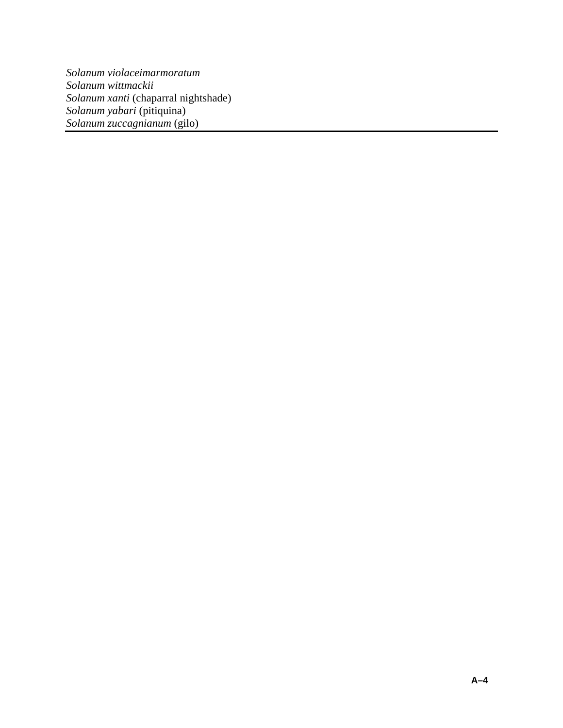*Solanum violaceimarmoratum Solanum wittmackii Solanum xanti* (chaparral nightshade) *Solanum yabari* (pitiquina) *Solanum zuccagnianum* (gilo)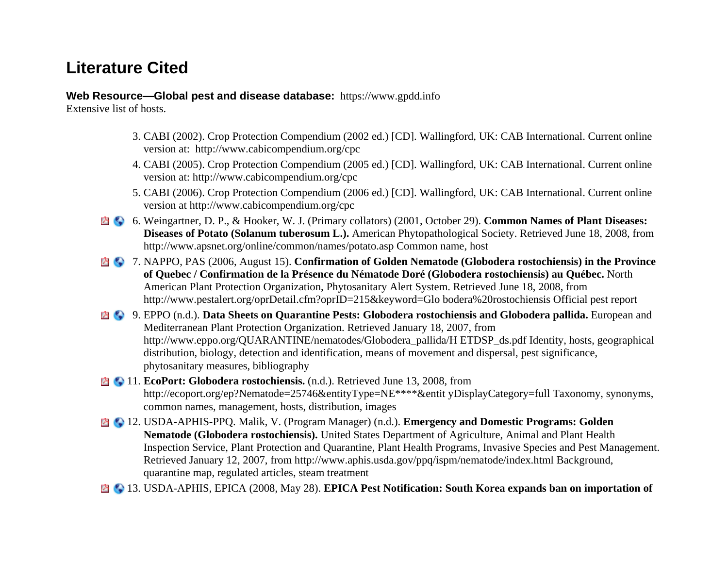## **Literature Cited**

**Web Resource—Global pest and disease database:** [https://www.gpdd.info](https://www.gpdd.info/)

Extensive list of hosts.

- 3. CABI (2002). Crop Protection Compendium (2002 ed.) [CD]. Wallingford, UK: CAB International. Current online version at: http://www.cabicompendium.org/cpc
- 4. CABI (2005). Crop Protection Compendium (2005 ed.) [CD]. Wallingford, UK: CAB International. Current online version at: http://www.cabicompendium.org/cpc
- 5. CABI (2006). Crop Protection Compendium (2006 ed.) [CD]. Wallingford, UK: CAB International. Current online version at http://www.cabicompendium.org/cpc
- 6. Weingartner, D. P., & Hooker, W. J. (Primary collators) (2001, October 29). **Common Names of Plant Diseases: Diseases of Potato (Solanum tuberosum L.).** American Phytopathological Society. Retrieved June 18, 2008, from http://www.apsnet.org/online/common/names/potato.asp Common name, host
- 7. NAPPO, PAS (2006, August 15). **Confirmation of Golden Nematode (Globodera rostochiensis) in the Province of Quebec / Confirmation de la Présence du Nématode Doré (Globodera rostochiensis) au Québec.** North American Plant Protection Organization, Phytosanitary Alert System. Retrieved June 18, 2008, from http://www.pestalert.org/oprDetail.cfm?oprID=215&keyword=Glo bodera%20rostochiensis Official pest report
- 9. EPPO (n.d.). **Data Sheets on Quarantine Pests: Globodera rostochiensis and Globodera pallida.** European and Mediterranean Plant Protection Organization. Retrieved January 18, 2007, from http://www.eppo.org/QUARANTINE/nematodes/Globodera\_pallida/H ETDSP\_ds.pdf Identity, hosts, geographical distribution, biology, detection and identification, means of movement and dispersal, pest significance, phytosanitary measures, bibliography
- **11. EcoPort: Globodera rostochiensis.** (n.d.). Retrieved June 13, 2008, from http://ecoport.org/ep?Nematode=25746&entityType=NE\*\*\*\*&entit yDisplayCategory=full Taxonomy, synonyms, common names, management, hosts, distribution, images
- 12. USDA-APHIS-PPQ. Malik, V. (Program Manager) (n.d.). **Emergency and Domestic Programs: Golden Nematode (Globodera rostochiensis).** United States Department of Agriculture, Animal and Plant Health Inspection Service, Plant Protection and Quarantine, Plant Health Programs, Invasive Species and Pest Management. Retrieved January 12, 2007, from http://www.aphis.usda.gov/ppq/ispm/nematode/index.html Background, quarantine map, regulated articles, steam treatment
- 13. USDA-APHIS, EPICA (2008, May 28). **EPICA Pest Notification: South Korea expands ban on importation of**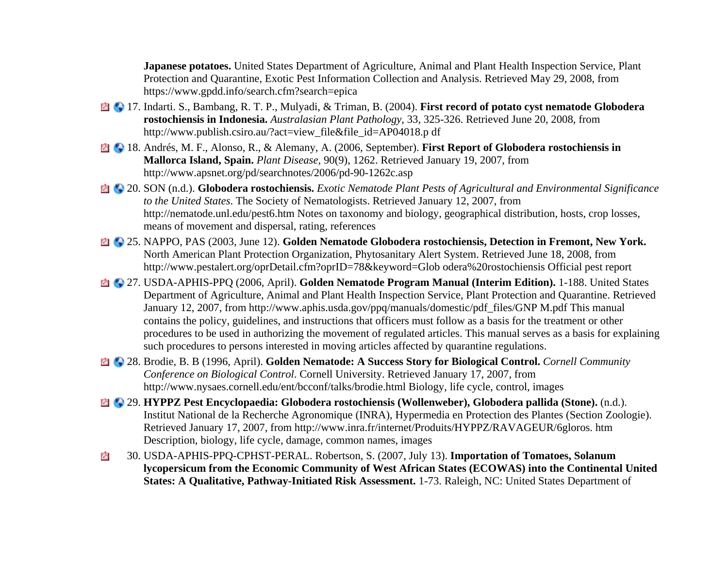**Japanese potatoes.** United States Department of Agriculture, Animal and Plant Health Inspection Service, Plant Protection and Quarantine, Exotic Pest Information Collection and Analysis. Retrieved May 29, 2008, from https://www.gpdd.info/search.cfm?search=epica

- 17. Indarti. S., Bambang, R. T. P., Mulyadi, & Triman, B. (2004). **First record of potato cyst nematode Globodera rostochiensis in Indonesia.** *Australasian Plant Pathology*, 33, 325-326. Retrieved June 20, 2008, from http://www.publish.csiro.au/?act=view\_file&file\_id=AP04018.p df
- 18. Andrés, M. F., Alonso, R., & Alemany, A. (2006, September). **First Report of Globodera rostochiensis in Mallorca Island, Spain.** *Plant Disease*, 90(9), 1262. Retrieved January 19, 2007, from http://www.apsnet.org/pd/searchnotes/2006/pd-90-1262c.asp
- 20. SON (n.d.). **Globodera rostochiensis.** *Exotic Nematode Plant Pests of Agricultural and Environmental Significance to the United States*. The Society of Nematologists. Retrieved January 12, 2007, from http://nematode.unl.edu/pest6.htm Notes on taxonomy and biology, geographical distribution, hosts, crop losses, means of movement and dispersal, rating, references
- 25. NAPPO, PAS (2003, June 12). **Golden Nematode Globodera rostochiensis, Detection in Fremont, New York.** North American Plant Protection Organization, Phytosanitary Alert System. Retrieved June 18, 2008, from http://www.pestalert.org/oprDetail.cfm?oprID=78&keyword=Glob odera%20rostochiensis Official pest report
- 27. USDA-APHIS-PPQ (2006, April). **Golden Nematode Program Manual (Interim Edition).** 1-188. United States Department of Agriculture, Animal and Plant Health Inspection Service, Plant Protection and Quarantine. Retrieved January 12, 2007, from http://www.aphis.usda.gov/ppq/manuals/domestic/pdf\_files/GNP M.pdf This manual contains the policy, guidelines, and instructions that officers must follow as a basis for the treatment or other procedures to be used in authorizing the movement of regulated articles. This manual serves as a basis for explaining such procedures to persons interested in moving articles affected by quarantine regulations.
- 28. Brodie, B. B (1996, April). **Golden Nematode: A Success Story for Biological Control.** *Cornell Community Conference on Biological Control*. Cornell University. Retrieved January 17, 2007, from http://www.nysaes.cornell.edu/ent/bcconf/talks/brodie.html Biology, life cycle, control, images
- 29. **HYPPZ Pest Encyclopaedia: Globodera rostochiensis (Wollenweber), Globodera pallida (Stone).** (n.d.). Institut National de la Recherche Agronomique (INRA), Hypermedia en Protection des Plantes (Section Zoologie). Retrieved January 17, 2007, from http://www.inra.fr/internet/Produits/HYPPZ/RAVAGEUR/6gloros. htm Description, biology, life cycle, damage, common names, images
- 30. USDA-APHIS-PPQ-CPHST-PERAL. Robertson, S. (2007, July 13). **Importation of Tomatoes, Solanum**  内 **lycopersicum from the Economic Community of West African States (ECOWAS) into the Continental United States: A Qualitative, Pathway-Initiated Risk Assessment.** 1-73. Raleigh, NC: United States Department of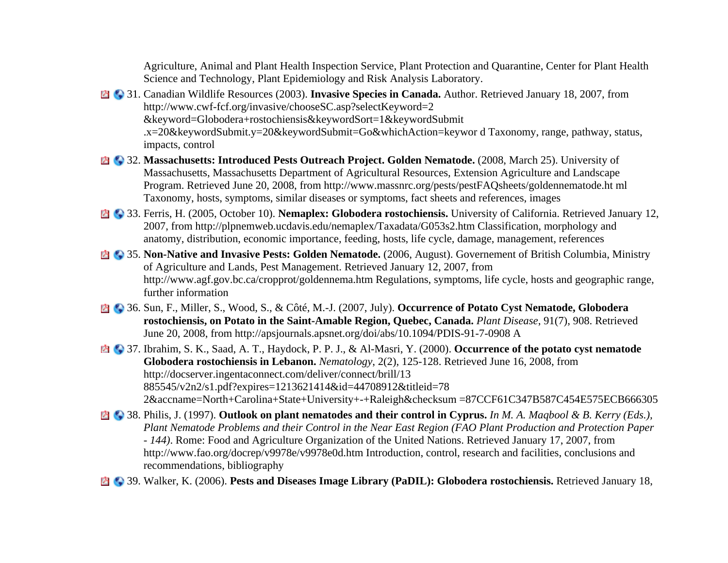Agriculture, Animal and Plant Health Inspection Service, Plant Protection and Quarantine, Center for Plant Health Science and Technology, Plant Epidemiology and Risk Analysis Laboratory.

- 31. Canadian Wildlife Resources (2003). **Invasive Species in Canada.** Author. Retrieved January 18, 2007, from http://www.cwf-fcf.org/invasive/chooseSC.asp?selectKeyword=2 &keyword=Globodera+rostochiensis&keywordSort=1&keywordSubmit .x=20&keywordSubmit.y=20&keywordSubmit=Go&whichAction=keywor d Taxonomy, range, pathway, status, impacts, control
- **23. Massachusetts: Introduced Pests Outreach Project. Golden Nematode.** (2008, March 25). University of Massachusetts, Massachusetts Department of Agricultural Resources, Extension Agriculture and Landscape Program. Retrieved June 20, 2008, from http://www.massnrc.org/pests/pestFAQsheets/goldennematode.ht ml Taxonomy, hosts, symptoms, similar diseases or symptoms, fact sheets and references, images
- **23. Ferris, H. (2005, October 10). Nemaplex: Globodera rostochiensis.** University of California. Retrieved January 12, 2007, from http://plpnemweb.ucdavis.edu/nemaplex/Taxadata/G053s2.htm Classification, morphology and anatomy, distribution, economic importance, feeding, hosts, life cycle, damage, management, references
- 35. **Non-Native and Invasive Pests: Golden Nematode.** (2006, August). Governement of British Columbia, Ministry of Agriculture and Lands, Pest Management. Retrieved January 12, 2007, from http://www.agf.gov.bc.ca/cropprot/goldennema.htm Regulations, symptoms, life cycle, hosts and geographic range, further information
- 36. Sun, F., Miller, S., Wood, S., & Côté, M.-J. (2007, July). **Occurrence of Potato Cyst Nematode, Globodera rostochiensis, on Potato in the Saint-Amable Region, Quebec, Canada.** *Plant Disease*, 91(7), 908. Retrieved June 20, 2008, from http://apsjournals.apsnet.org/doi/abs/10.1094/PDIS-91-7-0908 A
- 37. Ibrahim, S. K., Saad, A. T., Haydock, P. P. J., & Al-Masri, Y. (2000). **Occurrence of the potato cyst nematode Globodera rostochiensis in Lebanon.** *Nematology*, 2(2), 125-128. Retrieved June 16, 2008, from http://docserver.ingentaconnect.com/deliver/connect/brill/13 885545/v2n2/s1.pdf?expires=1213621414&id=44708912&titleid=78 2&accname=North+Carolina+State+University+-+Raleigh&checksum =87CCF61C347B587C454E575ECB666305
- 38. Philis, J. (1997). **Outlook on plant nematodes and their control in Cyprus.** *In M. A. Maqbool & B. Kerry (Eds.), Plant Nematode Problems and their Control in the Near East Region (FAO Plant Production and Protection Paper - 144)*. Rome: Food and Agriculture Organization of the United Nations. Retrieved January 17, 2007, from http://www.fao.org/docrep/v9978e/v9978e0d.htm Introduction, control, research and facilities, conclusions and recommendations, bibliography
- 39. Walker, K. (2006). **Pests and Diseases Image Library (PaDIL): Globodera rostochiensis.** Retrieved January 18,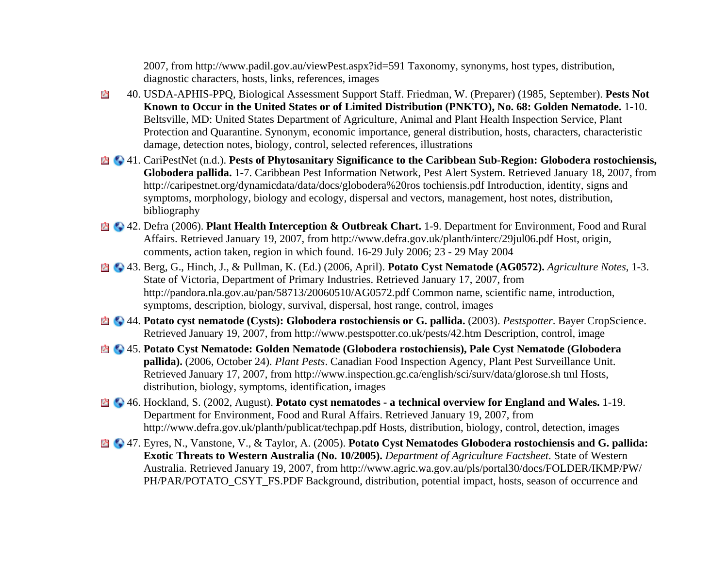2007, from http://www.padil.gov.au/viewPest.aspx?id=591 Taxonomy, synonyms, host types, distribution, diagnostic characters, hosts, links, references, images

- 40. USDA-APHIS-PPQ, Biological Assessment Support Staff. Friedman, W. (Preparer) (1985, September). **Pests Not**  A **Known to Occur in the United States or of Limited Distribution (PNKTO), No. 68: Golden Nematode.** 1-10. Beltsville, MD: United States Department of Agriculture, Animal and Plant Health Inspection Service, Plant Protection and Quarantine. Synonym, economic importance, general distribution, hosts, characters, characteristic damage, detection notes, biology, control, selected references, illustrations
- 41. CariPestNet (n.d.). **Pests of Phytosanitary Significance to the Caribbean Sub-Region: Globodera rostochiensis, Globodera pallida.** 1-7. Caribbean Pest Information Network, Pest Alert System. Retrieved January 18, 2007, from http://caripestnet.org/dynamicdata/data/docs/globodera%20ros tochiensis.pdf Introduction, identity, signs and symptoms, morphology, biology and ecology, dispersal and vectors, management, host notes, distribution, bibliography
- 42. Defra (2006). **Plant Health Interception & Outbreak Chart.** 1-9. Department for Environment, Food and Rural Affairs. Retrieved January 19, 2007, from http://www.defra.gov.uk/planth/interc/29jul06.pdf Host, origin, comments, action taken, region in which found. 16-29 July 2006; 23 - 29 May 2004
- 43. Berg, G., Hinch, J., & Pullman, K. (Ed.) (2006, April). **Potato Cyst Nematode (AG0572).** *Agriculture Notes*, 1-3. State of Victoria, Department of Primary Industries. Retrieved January 17, 2007, from http://pandora.nla.gov.au/pan/58713/20060510/AG0572.pdf Common name, scientific name, introduction, symptoms, description, biology, survival, dispersal, host range, control, images
- 44. **Potato cyst nematode (Cysts): Globodera rostochiensis or G. pallida.** (2003). *Pestspotter*. Bayer CropScience. Retrieved January 19, 2007, from http://www.pestspotter.co.uk/pests/42.htm Description, control, image
- 45. **Potato Cyst Nematode: Golden Nematode (Globodera rostochiensis), Pale Cyst Nematode (Globodera pallida).** (2006, October 24). *Plant Pests*. Canadian Food Inspection Agency, Plant Pest Surveillance Unit. Retrieved January 17, 2007, from http://www.inspection.gc.ca/english/sci/surv/data/glorose.sh tml Hosts, distribution, biology, symptoms, identification, images
- 46. Hockland, S. (2002, August). **Potato cyst nematodes a technical overview for England and Wales.** 1-19. Department for Environment, Food and Rural Affairs. Retrieved January 19, 2007, from http://www.defra.gov.uk/planth/publicat/techpap.pdf Hosts, distribution, biology, control, detection, images
- 47. Eyres, N., Vanstone, V., & Taylor, A. (2005). **Potato Cyst Nematodes Globodera rostochiensis and G. pallida: Exotic Threats to Western Australia (No. 10/2005).** *Department of Agriculture Factsheet*. State of Western Australia. Retrieved January 19, 2007, from http://www.agric.wa.gov.au/pls/portal30/docs/FOLDER/IKMP/PW/ PH/PAR/POTATO\_CSYT\_FS.PDF Background, distribution, potential impact, hosts, season of occurrence and